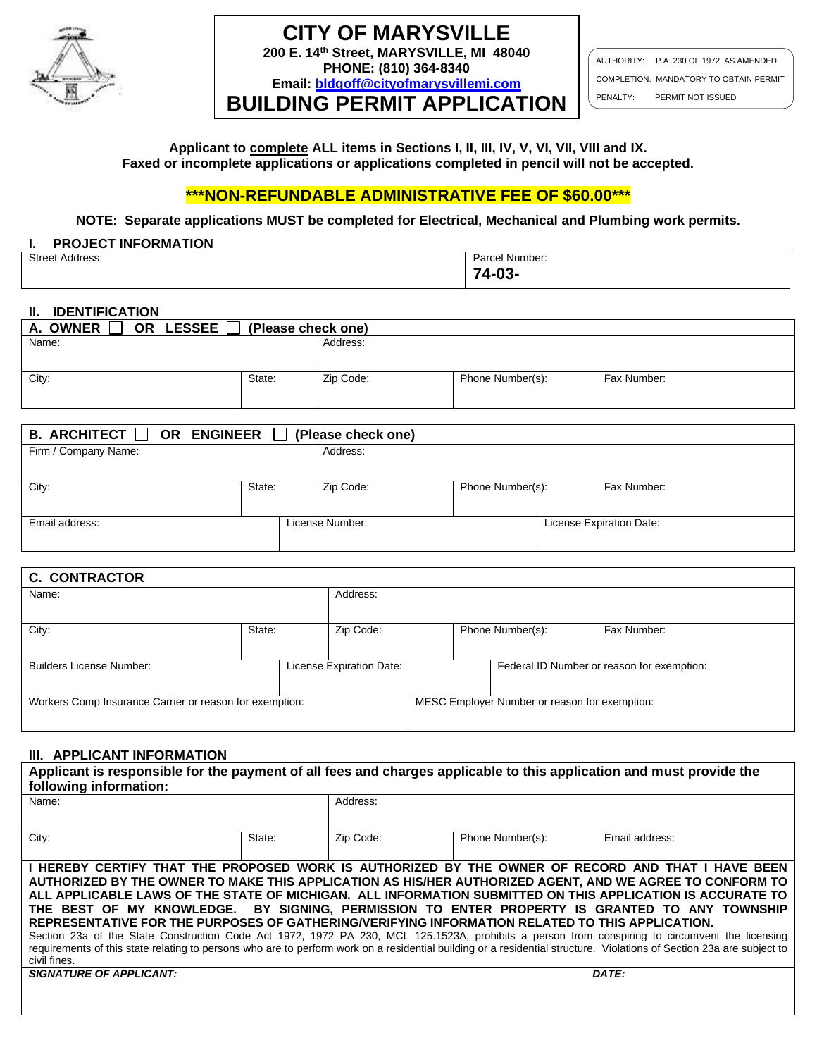

# **CITY OF MARYSVILLE 200 E. 14th Street, MARYSVILLE, MI 48040**

**PHONE: (810) 364-8340 Email: [bldgoff@cityofmarysvillemi.com](mailto:bldgoff@cityofmarysvillemi.com)**

**BUILDING PERMIT APPLICATION**

AUTHORITY: P.A. 230 OF 1972, AS AMENDED COMPLETION: MANDATORY TO OBTAIN PERMIT PENALTY: PERMIT NOT ISSUED

**Applicant to complete ALL items in Sections I, II, III, IV, V, VI, VII, VIII and IX. Faxed or incomplete applications or applications completed in pencil will not be accepted.**

# **\*\*\*NON-REFUNDABLE ADMINISTRATIVE FEE OF \$60.00\*\*\***

**NOTE: Separate applications MUST be completed for Electrical, Mechanical and Plumbing work permits.**

#### **I. PROJECT INFORMATION**

| <b>Street Address:</b><br>. | Parcel Number: |
|-----------------------------|----------------|
|                             | ∼-<br>vv       |

### **II. IDENTIFICATION**

| <b>LESSEE</b><br>A. OWNER<br><b>OR</b> | (Please check one) |           |                  |             |
|----------------------------------------|--------------------|-----------|------------------|-------------|
| Name:                                  |                    | Address:  |                  |             |
|                                        |                    |           |                  |             |
| City:                                  | State:             | Zip Code: | Phone Number(s): | Fax Number: |
|                                        |                    |           |                  |             |

| <b>B.</b> ARCHITECT $\Box$<br>OR ENGINEER<br>(Please check one) |        |                 |                  |                          |  |  |  |  |
|-----------------------------------------------------------------|--------|-----------------|------------------|--------------------------|--|--|--|--|
| Firm / Company Name:                                            |        | Address:        |                  |                          |  |  |  |  |
|                                                                 |        |                 |                  |                          |  |  |  |  |
| City:                                                           | State: | Zip Code:       | Phone Number(s): | Fax Number:              |  |  |  |  |
|                                                                 |        |                 |                  |                          |  |  |  |  |
| Email address:                                                  |        | License Number: |                  | License Expiration Date: |  |  |  |  |
|                                                                 |        |                 |                  |                          |  |  |  |  |

| <b>C. CONTRACTOR</b>                                    |        |  |                          |                                               |                                 |  |                                            |  |
|---------------------------------------------------------|--------|--|--------------------------|-----------------------------------------------|---------------------------------|--|--------------------------------------------|--|
| Name:                                                   |        |  | Address:                 |                                               |                                 |  |                                            |  |
|                                                         |        |  |                          |                                               |                                 |  |                                            |  |
| City:                                                   | State: |  | Zip Code:                |                                               | Phone Number(s):<br>Fax Number: |  |                                            |  |
|                                                         |        |  |                          |                                               |                                 |  |                                            |  |
|                                                         |        |  |                          |                                               |                                 |  |                                            |  |
| <b>Builders License Number:</b>                         |        |  | License Expiration Date: |                                               |                                 |  | Federal ID Number or reason for exemption: |  |
|                                                         |        |  |                          |                                               |                                 |  |                                            |  |
|                                                         |        |  |                          |                                               |                                 |  |                                            |  |
| Workers Comp Insurance Carrier or reason for exemption: |        |  |                          | MESC Employer Number or reason for exemption: |                                 |  |                                            |  |
|                                                         |        |  |                          |                                               |                                 |  |                                            |  |
|                                                         |        |  |                          |                                               |                                 |  |                                            |  |

## **III. APPLICANT INFORMATION**

| Applicant is responsible for the payment of all fees and charges applicable to this application and must provide the<br>following information:                                                                                                                                                                                                                                                                                                                                                                                                                                                                                                                                                                                                                                                                                                                              |        |           |                  |                |  |  |  |
|-----------------------------------------------------------------------------------------------------------------------------------------------------------------------------------------------------------------------------------------------------------------------------------------------------------------------------------------------------------------------------------------------------------------------------------------------------------------------------------------------------------------------------------------------------------------------------------------------------------------------------------------------------------------------------------------------------------------------------------------------------------------------------------------------------------------------------------------------------------------------------|--------|-----------|------------------|----------------|--|--|--|
| Name:                                                                                                                                                                                                                                                                                                                                                                                                                                                                                                                                                                                                                                                                                                                                                                                                                                                                       |        | Address:  |                  |                |  |  |  |
| City:                                                                                                                                                                                                                                                                                                                                                                                                                                                                                                                                                                                                                                                                                                                                                                                                                                                                       | State: | Zip Code: | Phone Number(s): | Email address: |  |  |  |
| I HEREBY CERTIFY THAT THE PROPOSED WORK IS AUTHORIZED BY THE OWNER OF RECORD AND THAT I HAVE BEEN<br>AUTHORIZED BY THE OWNER TO MAKE THIS APPLICATION AS HIS/HER AUTHORIZED AGENT, AND WE AGREE TO CONFORM TO<br>ALL APPLICABLE LAWS OF THE STATE OF MICHIGAN. ALL INFORMATION SUBMITTED ON THIS APPLICATION IS ACCURATE TO<br>THE BEST OF MY KNOWLEDGE. BY SIGNING. PERMISSION TO ENTER PROPERTY IS GRANTED TO ANY TOWNSHIP<br>REPRESENTATIVE FOR THE PURPOSES OF GATHERING/VERIFYING INFORMATION RELATED TO THIS APPLICATION.<br>Section 23a of the State Construction Code Act 1972, 1972 PA 230, MCL 125.1523A, prohibits a person from conspiring to circumvent the licensing<br>requirements of this state relating to persons who are to perform work on a residential building or a residential structure. Violations of Section 23a are subject to<br>civil fines. |        |           |                  |                |  |  |  |
| <b>SIGNATURE OF APPLICANT:</b>                                                                                                                                                                                                                                                                                                                                                                                                                                                                                                                                                                                                                                                                                                                                                                                                                                              |        |           |                  | DATE:          |  |  |  |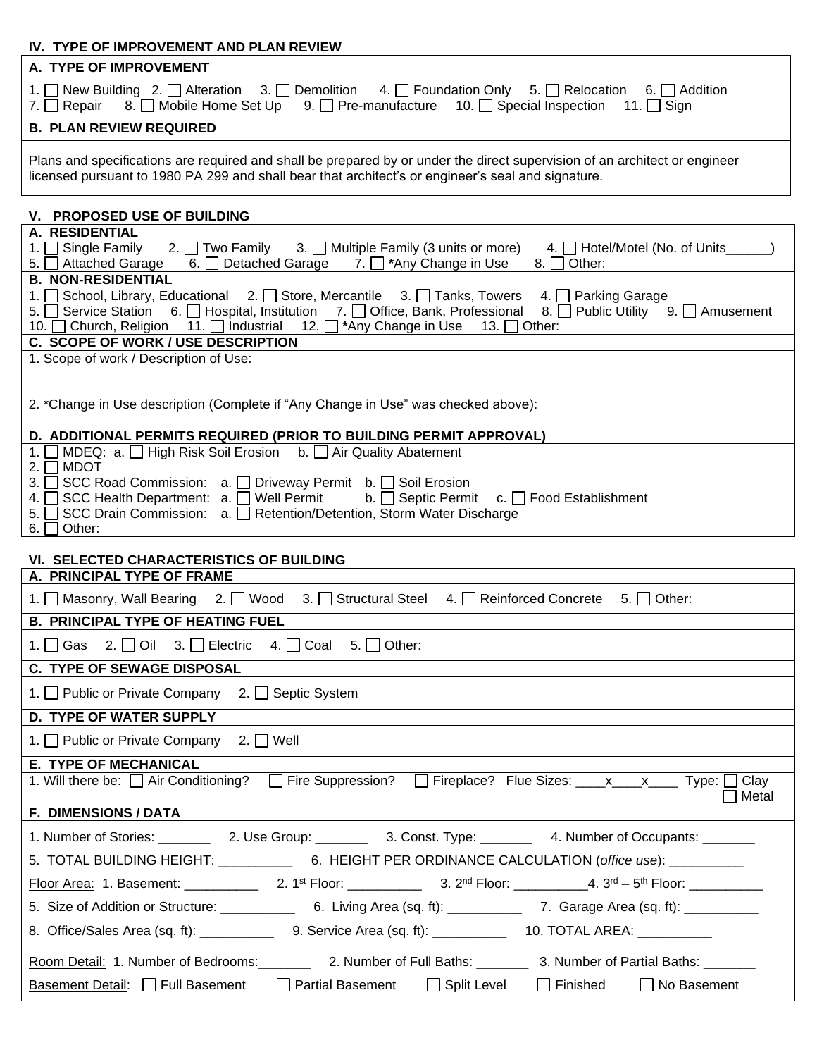## **IV. TYPE OF IMPROVEMENT AND PLAN REVIEW**

| A. TYPE OF IMPROVEMENT                                                                                                                                                                                                                                                                                                         |
|--------------------------------------------------------------------------------------------------------------------------------------------------------------------------------------------------------------------------------------------------------------------------------------------------------------------------------|
| 1. New Building 2. $\Box$ Alteration 3. $\Box$ Demolition<br>4. <b>Foundation Only</b><br>5. $\Box$ Relocation<br>6. $\Box$ Addition<br>8. □ Mobile Home Set Up<br>9. $\Box$ Pre-manufacture<br>10. Special Inspection 11. Sign<br>Repair<br>7.                                                                                |
| <b>B. PLAN REVIEW REQUIRED</b>                                                                                                                                                                                                                                                                                                 |
| Plans and specifications are required and shall be prepared by or under the direct supervision of an architect or engineer<br>licensed pursuant to 1980 PA 299 and shall bear that architect's or engineer's seal and signature.                                                                                               |
| V. PROPOSED USE OF BUILDING                                                                                                                                                                                                                                                                                                    |
| A. RESIDENTIAL                                                                                                                                                                                                                                                                                                                 |
| 2. $\Box$ Two Family 3. $\Box$ Multiple Family (3 units or more)<br>1. $\Box$ Single Family<br>4. Hotel/Motel (No. of Units<br>6. Detached Garage 7. D *Any Change in Use<br>5. <b>S</b> Attached Garage<br>$8.$ $\Box$<br>Other:                                                                                              |
| <b>B. NON-RESIDENTIAL</b>                                                                                                                                                                                                                                                                                                      |
| 1. School, Library, Educational 2. Store, Mercantile 3. Tanks, Towers<br><b>Parking Garage</b><br>$4. \Box$<br>5. Service Station 6. Hospital, Institution 7. D Office, Bank, Professional<br>8. Public Utility 9. Amusement<br>10. Ohurch, Religion 11. Dindustrial 12. D <sup>*</sup> Any Change in Use<br>13. $\Box$ Other: |
| C. SCOPE OF WORK / USE DESCRIPTION                                                                                                                                                                                                                                                                                             |
| 1. Scope of work / Description of Use:                                                                                                                                                                                                                                                                                         |
| 2. *Change in Use description (Complete if "Any Change in Use" was checked above):                                                                                                                                                                                                                                             |
| D. ADDITIONAL PERMITS REQUIRED (PRIOR TO BUILDING PERMIT APPROVAL)<br>MDEQ: a.   High Risk Soil Erosion b.   Air Quality Abatement<br>1.                                                                                                                                                                                       |
| <b>MDOT</b><br>2.                                                                                                                                                                                                                                                                                                              |
| SCC Road Commission: a. □ Driveway Permit b. □ Soil Erosion<br>3.                                                                                                                                                                                                                                                              |
| SCC Health Department: a. □ Well Permit<br>$b.$ Septic Permit<br>c. $\Box$ Food Establishment<br>4.<br>SCC Drain Commission: a.   Retention/Detention, Storm Water Discharge<br>5.                                                                                                                                             |
| Other:<br>6.                                                                                                                                                                                                                                                                                                                   |
|                                                                                                                                                                                                                                                                                                                                |
| VI. SELECTED CHARACTERISTICS OF BUILDING<br>A. PRINCIPAL TYPE OF FRAME                                                                                                                                                                                                                                                         |
| 1. ■ Masonry, Wall Bearing 2. ■ Wood 3. ■ Structural Steel 4. ■ Reinforced Concrete<br>5. $\Box$ Other:                                                                                                                                                                                                                        |
| <b>B. PRINCIPAL TYPE OF HEATING FUEL</b>                                                                                                                                                                                                                                                                                       |
| 2. $\Box$ Oil<br>3. $\Box$ Electric 4. $\Box$ Coal<br>5. $\Box$ Other:<br>1. $\Box$ Gas                                                                                                                                                                                                                                        |
| <b>C. TYPE OF SEWAGE DISPOSAL</b>                                                                                                                                                                                                                                                                                              |
| 1. □ Public or Private Company<br>2. $\Box$ Septic System                                                                                                                                                                                                                                                                      |
| <b>D. TYPE OF WATER SUPPLY</b>                                                                                                                                                                                                                                                                                                 |
| 1. Public or Private Company<br>2. $\Box$ Well                                                                                                                                                                                                                                                                                 |
| <b>E. TYPE OF MECHANICAL</b>                                                                                                                                                                                                                                                                                                   |
| 1. Will there be: $\Box$ Air Conditioning? $\Box$ Fire Suppression? $\Box$ Fireplace? Flue Sizes: <u>____x_____</u> Type: $\Box$ Clay<br>Metal                                                                                                                                                                                 |
| <b>F. DIMENSIONS / DATA</b>                                                                                                                                                                                                                                                                                                    |
|                                                                                                                                                                                                                                                                                                                                |
| 5. TOTAL BUILDING HEIGHT: ______________6. HEIGHT PER ORDINANCE CALCULATION (office use): __________                                                                                                                                                                                                                           |
|                                                                                                                                                                                                                                                                                                                                |
| 5. Size of Addition or Structure: _______________6. Living Area (sq. ft): ________________7. Garage Area (sq. ft): ______________                                                                                                                                                                                              |
|                                                                                                                                                                                                                                                                                                                                |
| Room Detail: 1. Number of Bedrooms: 2. Number of Full Baths: 2. 2. Number of Partial Baths: 2. 2. 2. 2. Number                                                                                                                                                                                                                 |
| <b>Partial Basement</b><br>Basement Detail: Full Basement<br>□ Split Level<br>$\Box$ Finished<br>$\Box$ No Basement                                                                                                                                                                                                            |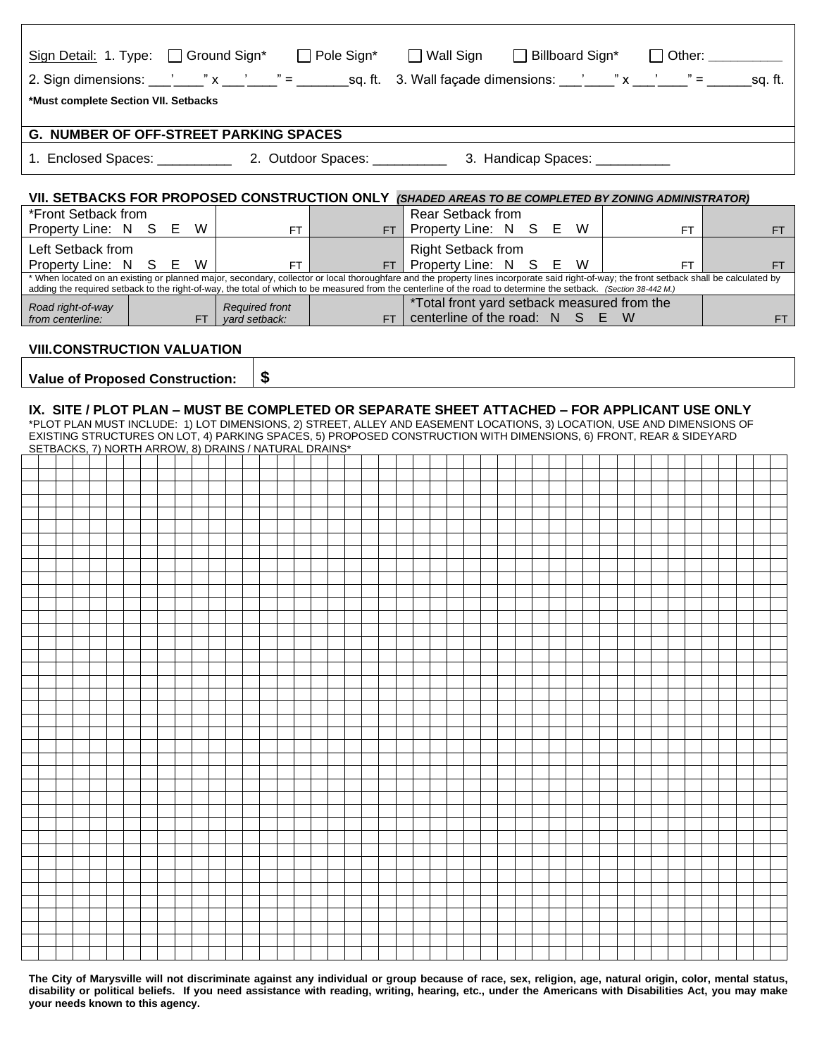| Sign Detail: 1. Type: Ground Sign* G Pole Sign* G Wall Sign G Billboard Sign* G Other: _____________ |                                                                                                                                                                                                                                                                                                                                                               |                                                               |             |  |  |  |  |  |  |
|------------------------------------------------------------------------------------------------------|---------------------------------------------------------------------------------------------------------------------------------------------------------------------------------------------------------------------------------------------------------------------------------------------------------------------------------------------------------------|---------------------------------------------------------------|-------------|--|--|--|--|--|--|
|                                                                                                      | 2. Sign dimensions: ___'____" x ___'____" = _______sq. ft. 3. Wall façade dimensions: ___'____" x ___'____" = ______sq. ft.                                                                                                                                                                                                                                   |                                                               |             |  |  |  |  |  |  |
| *Must complete Section VII. Setbacks                                                                 |                                                                                                                                                                                                                                                                                                                                                               |                                                               |             |  |  |  |  |  |  |
| <b>G. NUMBER OF OFF-STREET PARKING SPACES</b>                                                        |                                                                                                                                                                                                                                                                                                                                                               |                                                               |             |  |  |  |  |  |  |
|                                                                                                      |                                                                                                                                                                                                                                                                                                                                                               |                                                               |             |  |  |  |  |  |  |
| VII. SETBACKS FOR PROPOSED CONSTRUCTION ONLY (SHADED AREAS TO BE COMPLETED BY ZONING ADMINISTRATOR)  |                                                                                                                                                                                                                                                                                                                                                               |                                                               |             |  |  |  |  |  |  |
| *Front Setback from                                                                                  |                                                                                                                                                                                                                                                                                                                                                               | Rear Setback from                                             |             |  |  |  |  |  |  |
| Property Line: N S E W   FT   THE                                                                    |                                                                                                                                                                                                                                                                                                                                                               | $FT$ Property Line: N S E W                                   | FT<br>FT.   |  |  |  |  |  |  |
| Left Setback from<br>Property Line: N S E W                                                          |                                                                                                                                                                                                                                                                                                                                                               | <b>Right Setback from</b><br>FT   FT   Property Line: N S E W | FT  <br>FT. |  |  |  |  |  |  |
|                                                                                                      | * When located on an existing or planned major, secondary, collector or local thoroughfare and the property lines incorporate said right-of-way; the front setback shall be calculated by<br>adding the required setback to the right-of-way, the total of which to be measured from the centerline of the road to determine the setback. (Section 38-442 M.) |                                                               |             |  |  |  |  |  |  |
| Road right-of-way                                                                                    | <b>Required front</b>                                                                                                                                                                                                                                                                                                                                         | *Total front yard setback measured from the                   |             |  |  |  |  |  |  |
| from centerline:                                                                                     | Required tront<br>FT   yard setback:                                                                                                                                                                                                                                                                                                                          | $FT$ centerline of the road: N S E W                          | FT.         |  |  |  |  |  |  |
| <b>VIII.CONSTRUCTION VALUATION</b>                                                                   |                                                                                                                                                                                                                                                                                                                                                               |                                                               |             |  |  |  |  |  |  |
|                                                                                                      | \$                                                                                                                                                                                                                                                                                                                                                            |                                                               |             |  |  |  |  |  |  |
| <b>Value of Proposed Construction:</b>                                                               |                                                                                                                                                                                                                                                                                                                                                               |                                                               |             |  |  |  |  |  |  |
|                                                                                                      | IX. SITE / PLOT PLAN – MUST BE COMPLETED OR SEPARATE SHEET ATTACHED – FOR APPLICANT USE ONLY                                                                                                                                                                                                                                                                  |                                                               |             |  |  |  |  |  |  |
|                                                                                                      | *PLOT PLAN MUST INCLUDE: 1) LOT DIMENSIONS, 2) STREET, ALLEY AND EASEMENT LOCATIONS, 3) LOCATION, USE AND DIMENSIONS OF<br>EXISTING STRUCTURES ON LOT, 4) PARKING SPACES, 5) PROPOSED CONSTRUCTION WITH DIMENSIONS, 6) FRONT, REAR & SIDEYARD                                                                                                                 |                                                               |             |  |  |  |  |  |  |
| SETBACKS, 7) NORTH ARROW, 8) DRAINS / NATURAL DRAINS*                                                |                                                                                                                                                                                                                                                                                                                                                               |                                                               |             |  |  |  |  |  |  |
|                                                                                                      |                                                                                                                                                                                                                                                                                                                                                               |                                                               |             |  |  |  |  |  |  |
|                                                                                                      |                                                                                                                                                                                                                                                                                                                                                               |                                                               |             |  |  |  |  |  |  |
|                                                                                                      |                                                                                                                                                                                                                                                                                                                                                               |                                                               |             |  |  |  |  |  |  |
|                                                                                                      |                                                                                                                                                                                                                                                                                                                                                               |                                                               |             |  |  |  |  |  |  |
|                                                                                                      |                                                                                                                                                                                                                                                                                                                                                               |                                                               |             |  |  |  |  |  |  |
|                                                                                                      |                                                                                                                                                                                                                                                                                                                                                               |                                                               |             |  |  |  |  |  |  |
|                                                                                                      |                                                                                                                                                                                                                                                                                                                                                               |                                                               |             |  |  |  |  |  |  |
|                                                                                                      |                                                                                                                                                                                                                                                                                                                                                               |                                                               |             |  |  |  |  |  |  |
|                                                                                                      |                                                                                                                                                                                                                                                                                                                                                               |                                                               |             |  |  |  |  |  |  |
|                                                                                                      |                                                                                                                                                                                                                                                                                                                                                               |                                                               |             |  |  |  |  |  |  |
|                                                                                                      |                                                                                                                                                                                                                                                                                                                                                               |                                                               |             |  |  |  |  |  |  |
|                                                                                                      |                                                                                                                                                                                                                                                                                                                                                               |                                                               |             |  |  |  |  |  |  |
|                                                                                                      |                                                                                                                                                                                                                                                                                                                                                               |                                                               |             |  |  |  |  |  |  |
|                                                                                                      |                                                                                                                                                                                                                                                                                                                                                               |                                                               |             |  |  |  |  |  |  |
|                                                                                                      |                                                                                                                                                                                                                                                                                                                                                               |                                                               |             |  |  |  |  |  |  |
|                                                                                                      |                                                                                                                                                                                                                                                                                                                                                               |                                                               |             |  |  |  |  |  |  |
|                                                                                                      |                                                                                                                                                                                                                                                                                                                                                               |                                                               |             |  |  |  |  |  |  |
|                                                                                                      |                                                                                                                                                                                                                                                                                                                                                               |                                                               |             |  |  |  |  |  |  |
|                                                                                                      |                                                                                                                                                                                                                                                                                                                                                               |                                                               |             |  |  |  |  |  |  |
|                                                                                                      |                                                                                                                                                                                                                                                                                                                                                               |                                                               |             |  |  |  |  |  |  |
|                                                                                                      |                                                                                                                                                                                                                                                                                                                                                               |                                                               |             |  |  |  |  |  |  |
|                                                                                                      |                                                                                                                                                                                                                                                                                                                                                               |                                                               |             |  |  |  |  |  |  |
|                                                                                                      |                                                                                                                                                                                                                                                                                                                                                               |                                                               |             |  |  |  |  |  |  |

**The City of Marysville will not discriminate against any individual or group because of race, sex, religion, age, natural origin, color, mental status, disability or political beliefs. If you need assistance with reading, writing, hearing, etc., under the Americans with Disabilities Act, you may make your needs known to this agency.**